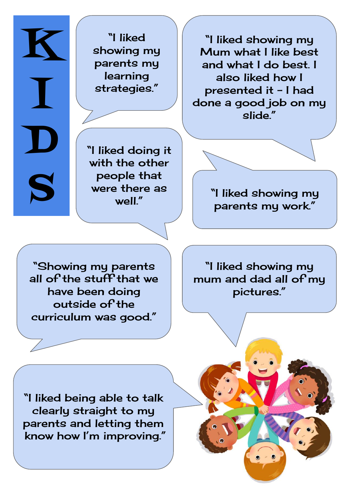"I liked showing my parents my learning strategies."

K

I

D

S

"I liked showing my Mum what I like best and what I do best. I also liked how I presented it - I had done a good job on my slide."

with the other people that were there as well"

"I liked doing it

"I liked showing my parents my work."

"Showing my parents all of the stuff that we have been doing outside of the curriculum was good."

"I liked showing my mum and dad all of my pictures."

"I liked being able to talk clearly straight to my parents and letting them know how I'm improving."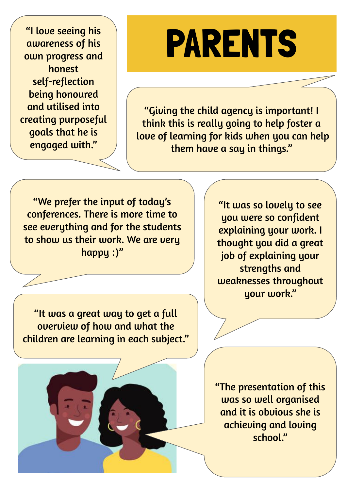"I love seeing his awareness of his own progress and honest self-reflection being honoured and utilised into creating purposeful goals that he is engaged with."

## PARENTS

"Giving the child agency is important! I think this is really going to help foster a love of learning for kids when you can help them have a say in things."

"We prefer the input of today's conferences. There is more time to see everything and for the students to show us their work. We are very happy :)"

"It was a great way to get a full overview of how and what the children are learning in each subject."

"It was so lovely to see you were so confident explaining your work. I thought you did a great job of explaining your strengths and weaknesses throughout your work."

"The presentation of this was so well organised and it is obvious she is achieving and loving school."